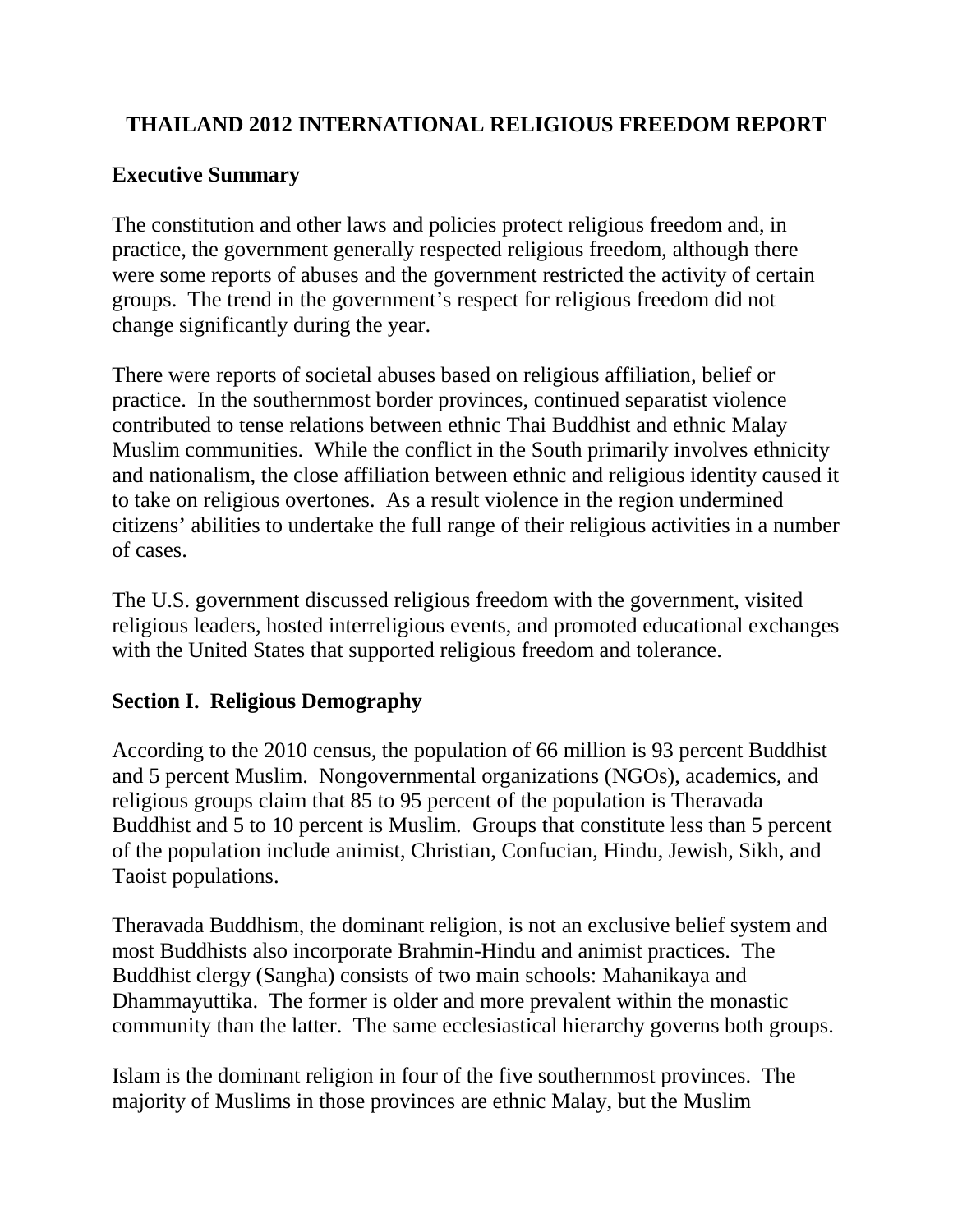## **THAILAND 2012 INTERNATIONAL RELIGIOUS FREEDOM REPORT**

### **Executive Summary**

The constitution and other laws and policies protect religious freedom and, in practice, the government generally respected religious freedom, although there were some reports of abuses and the government restricted the activity of certain groups. The trend in the government's respect for religious freedom did not change significantly during the year.

There were reports of societal abuses based on religious affiliation, belief or practice. In the southernmost border provinces, continued separatist violence contributed to tense relations between ethnic Thai Buddhist and ethnic Malay Muslim communities. While the conflict in the South primarily involves ethnicity and nationalism, the close affiliation between ethnic and religious identity caused it to take on religious overtones. As a result violence in the region undermined citizens' abilities to undertake the full range of their religious activities in a number of cases.

The U.S. government discussed religious freedom with the government, visited religious leaders, hosted interreligious events, and promoted educational exchanges with the United States that supported religious freedom and tolerance.

### **Section I. Religious Demography**

According to the 2010 census, the population of 66 million is 93 percent Buddhist and 5 percent Muslim. Nongovernmental organizations (NGOs), academics, and religious groups claim that 85 to 95 percent of the population is Theravada Buddhist and 5 to 10 percent is Muslim. Groups that constitute less than 5 percent of the population include animist, Christian, Confucian, Hindu, Jewish, Sikh, and Taoist populations.

Theravada Buddhism, the dominant religion, is not an exclusive belief system and most Buddhists also incorporate Brahmin-Hindu and animist practices. The Buddhist clergy (Sangha) consists of two main schools: Mahanikaya and Dhammayuttika. The former is older and more prevalent within the monastic community than the latter. The same ecclesiastical hierarchy governs both groups.

Islam is the dominant religion in four of the five southernmost provinces. The majority of Muslims in those provinces are ethnic Malay, but the Muslim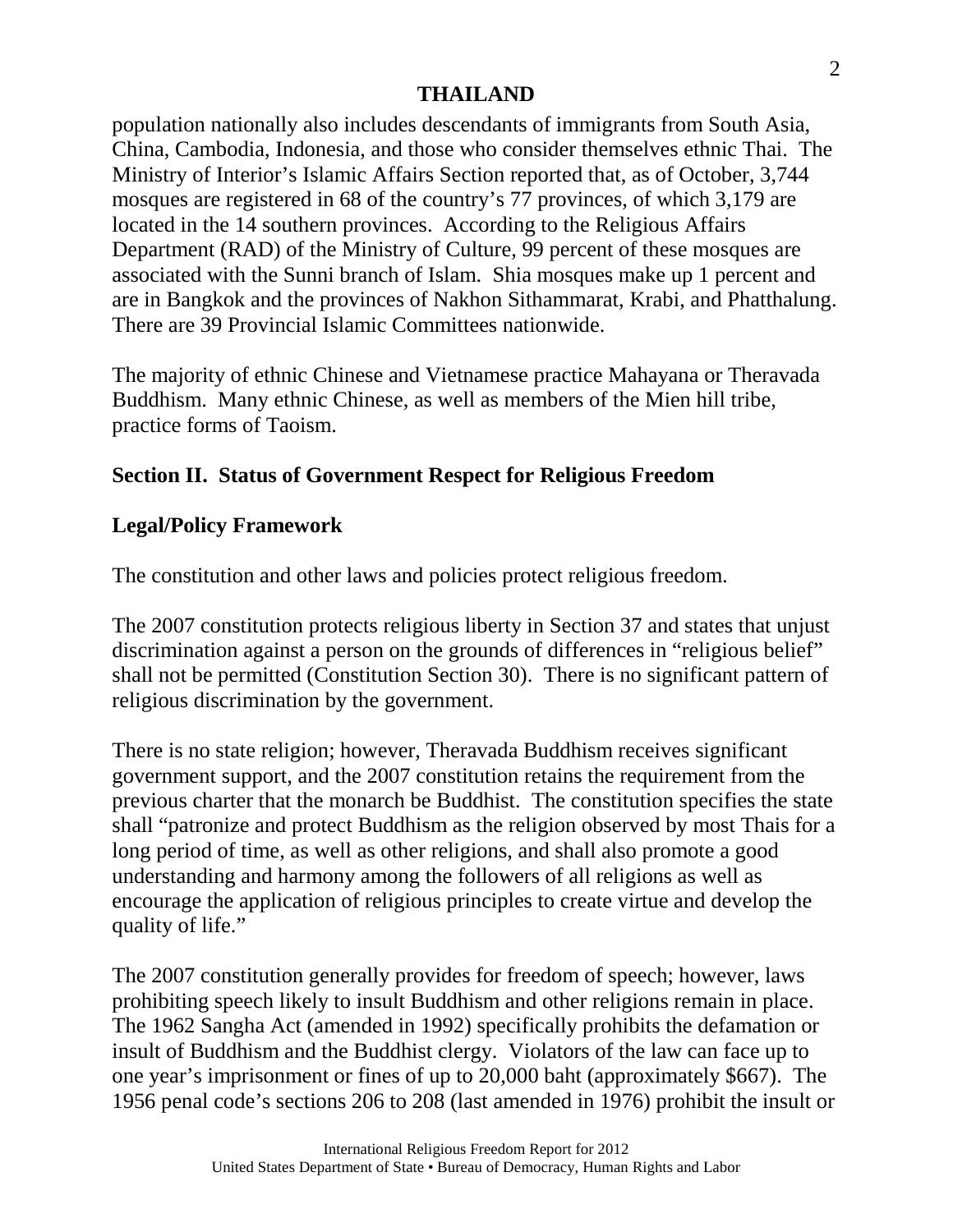population nationally also includes descendants of immigrants from South Asia, China, Cambodia, Indonesia, and those who consider themselves ethnic Thai. The Ministry of Interior's Islamic Affairs Section reported that, as of October, 3,744 mosques are registered in 68 of the country's 77 provinces, of which 3,179 are located in the 14 southern provinces. According to the Religious Affairs Department (RAD) of the Ministry of Culture, 99 percent of these mosques are associated with the Sunni branch of Islam. Shia mosques make up 1 percent and are in Bangkok and the provinces of Nakhon Sithammarat, Krabi, and Phatthalung. There are 39 Provincial Islamic Committees nationwide.

The majority of ethnic Chinese and Vietnamese practice Mahayana or Theravada Buddhism. Many ethnic Chinese, as well as members of the Mien hill tribe, practice forms of Taoism.

# **Section II. Status of Government Respect for Religious Freedom**

## **Legal/Policy Framework**

The constitution and other laws and policies protect religious freedom.

The 2007 constitution protects religious liberty in Section 37 and states that unjust discrimination against a person on the grounds of differences in "religious belief" shall not be permitted (Constitution Section 30). There is no significant pattern of religious discrimination by the government.

There is no state religion; however, Theravada Buddhism receives significant government support, and the 2007 constitution retains the requirement from the previous charter that the monarch be Buddhist. The constitution specifies the state shall "patronize and protect Buddhism as the religion observed by most Thais for a long period of time, as well as other religions, and shall also promote a good understanding and harmony among the followers of all religions as well as encourage the application of religious principles to create virtue and develop the quality of life."

The 2007 constitution generally provides for freedom of speech; however, laws prohibiting speech likely to insult Buddhism and other religions remain in place. The 1962 Sangha Act (amended in 1992) specifically prohibits the defamation or insult of Buddhism and the Buddhist clergy. Violators of the law can face up to one year's imprisonment or fines of up to 20,000 baht (approximately \$667). The 1956 penal code's sections 206 to 208 (last amended in 1976) prohibit the insult or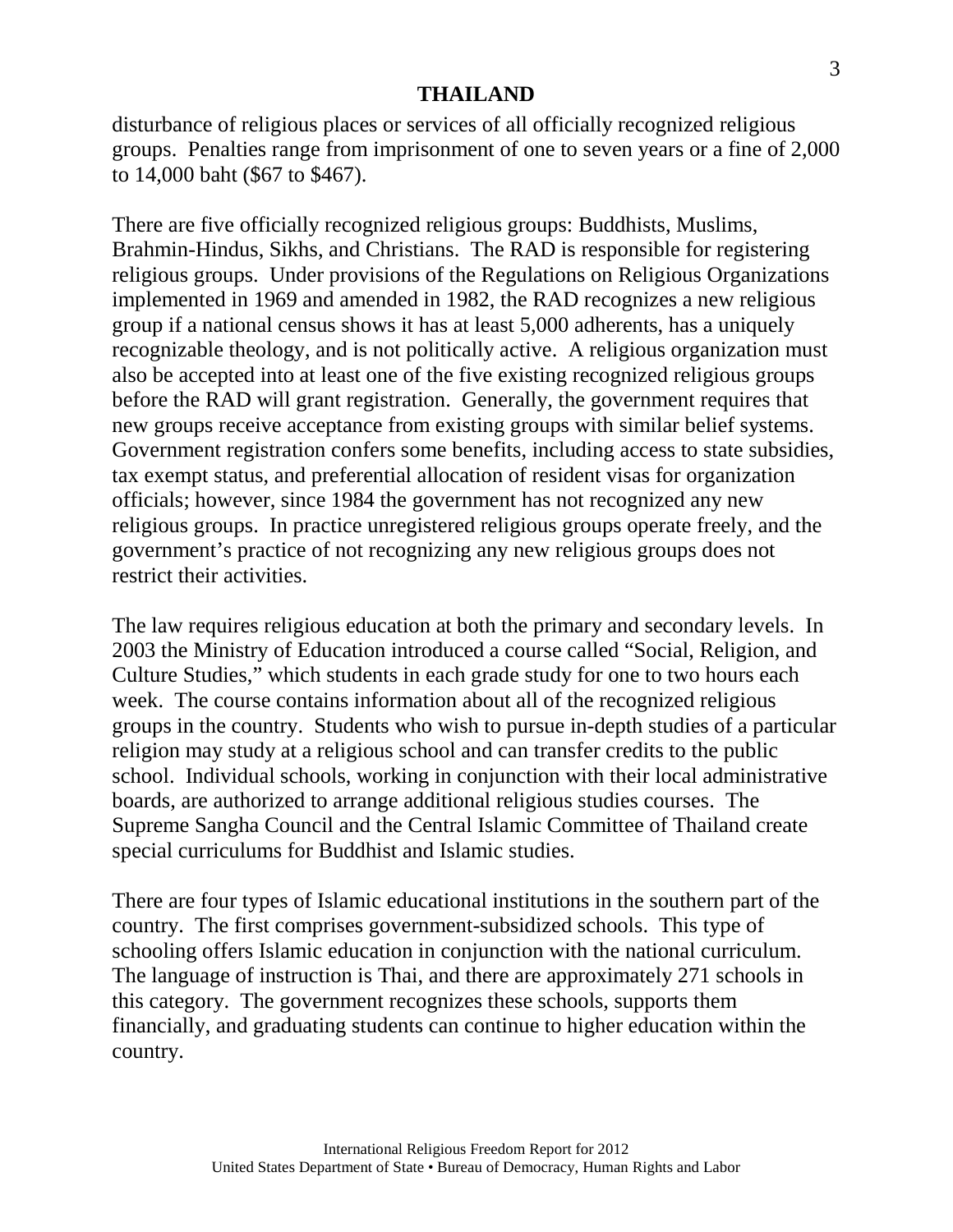disturbance of religious places or services of all officially recognized religious groups. Penalties range from imprisonment of one to seven years or a fine of 2,000 to 14,000 baht (\$67 to \$467).

There are five officially recognized religious groups: Buddhists, Muslims, Brahmin-Hindus, Sikhs, and Christians. The RAD is responsible for registering religious groups. Under provisions of the Regulations on Religious Organizations implemented in 1969 and amended in 1982, the RAD recognizes a new religious group if a national census shows it has at least 5,000 adherents, has a uniquely recognizable theology, and is not politically active. A religious organization must also be accepted into at least one of the five existing recognized religious groups before the RAD will grant registration. Generally, the government requires that new groups receive acceptance from existing groups with similar belief systems. Government registration confers some benefits, including access to state subsidies, tax exempt status, and preferential allocation of resident visas for organization officials; however, since 1984 the government has not recognized any new religious groups. In practice unregistered religious groups operate freely, and the government's practice of not recognizing any new religious groups does not restrict their activities.

The law requires religious education at both the primary and secondary levels. In 2003 the Ministry of Education introduced a course called "Social, Religion, and Culture Studies," which students in each grade study for one to two hours each week. The course contains information about all of the recognized religious groups in the country. Students who wish to pursue in-depth studies of a particular religion may study at a religious school and can transfer credits to the public school. Individual schools, working in conjunction with their local administrative boards, are authorized to arrange additional religious studies courses. The Supreme Sangha Council and the Central Islamic Committee of Thailand create special curriculums for Buddhist and Islamic studies.

There are four types of Islamic educational institutions in the southern part of the country. The first comprises government-subsidized schools. This type of schooling offers Islamic education in conjunction with the national curriculum. The language of instruction is Thai, and there are approximately 271 schools in this category. The government recognizes these schools, supports them financially, and graduating students can continue to higher education within the country.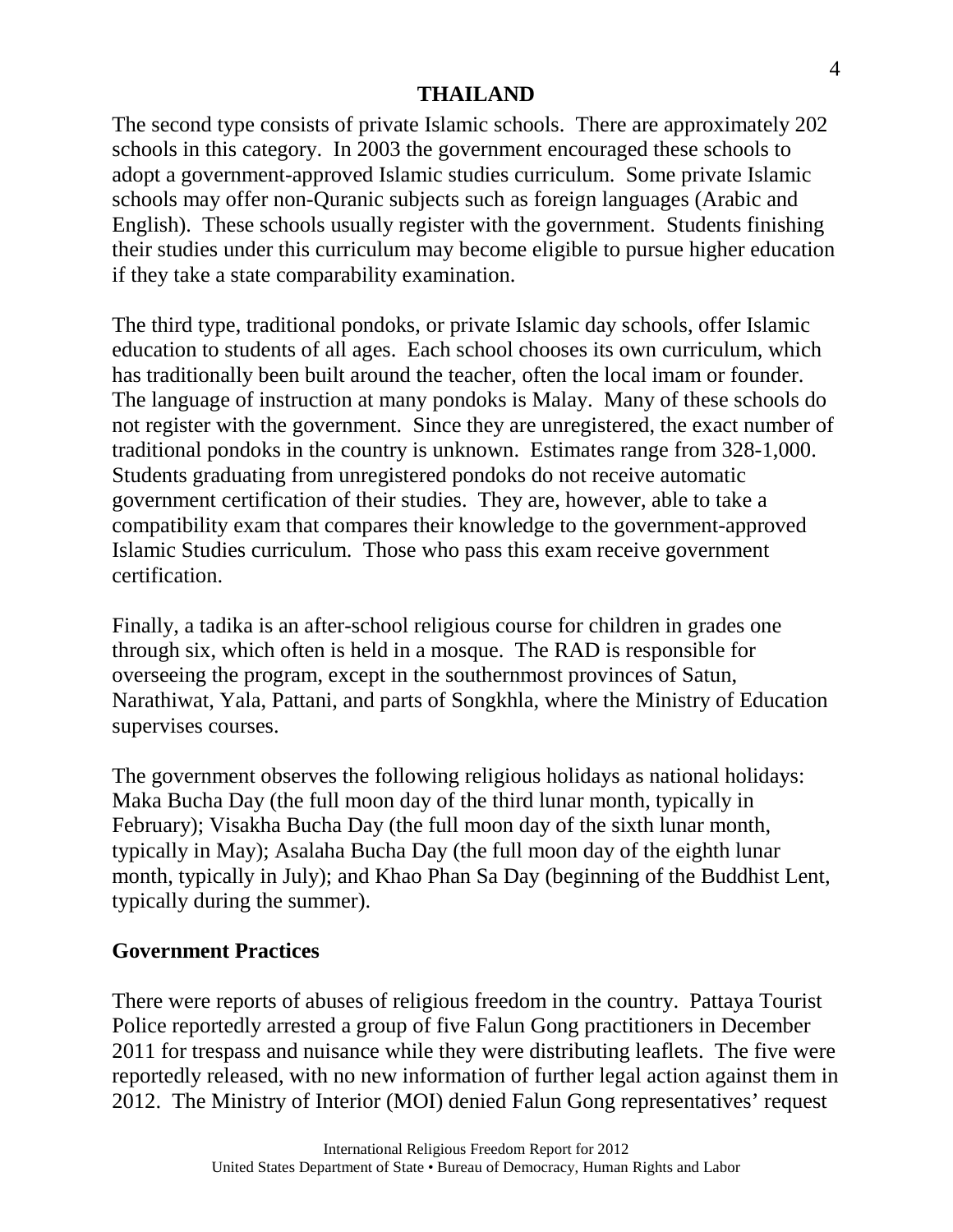The second type consists of private Islamic schools. There are approximately 202 schools in this category. In 2003 the government encouraged these schools to adopt a government-approved Islamic studies curriculum. Some private Islamic schools may offer non-Quranic subjects such as foreign languages (Arabic and English). These schools usually register with the government. Students finishing their studies under this curriculum may become eligible to pursue higher education if they take a state comparability examination.

The third type, traditional pondoks, or private Islamic day schools, offer Islamic education to students of all ages. Each school chooses its own curriculum, which has traditionally been built around the teacher, often the local imam or founder. The language of instruction at many pondoks is Malay. Many of these schools do not register with the government. Since they are unregistered, the exact number of traditional pondoks in the country is unknown. Estimates range from 328-1,000. Students graduating from unregistered pondoks do not receive automatic government certification of their studies. They are, however, able to take a compatibility exam that compares their knowledge to the government-approved Islamic Studies curriculum. Those who pass this exam receive government certification.

Finally, a tadika is an after-school religious course for children in grades one through six, which often is held in a mosque. The RAD is responsible for overseeing the program, except in the southernmost provinces of Satun, Narathiwat, Yala, Pattani, and parts of Songkhla, where the Ministry of Education supervises courses.

The government observes the following religious holidays as national holidays: Maka Bucha Day (the full moon day of the third lunar month, typically in February); Visakha Bucha Day (the full moon day of the sixth lunar month, typically in May); Asalaha Bucha Day (the full moon day of the eighth lunar month, typically in July); and Khao Phan Sa Day (beginning of the Buddhist Lent, typically during the summer).

### **Government Practices**

There were reports of abuses of religious freedom in the country. Pattaya Tourist Police reportedly arrested a group of five Falun Gong practitioners in December 2011 for trespass and nuisance while they were distributing leaflets. The five were reportedly released, with no new information of further legal action against them in 2012. The Ministry of Interior (MOI) denied Falun Gong representatives' request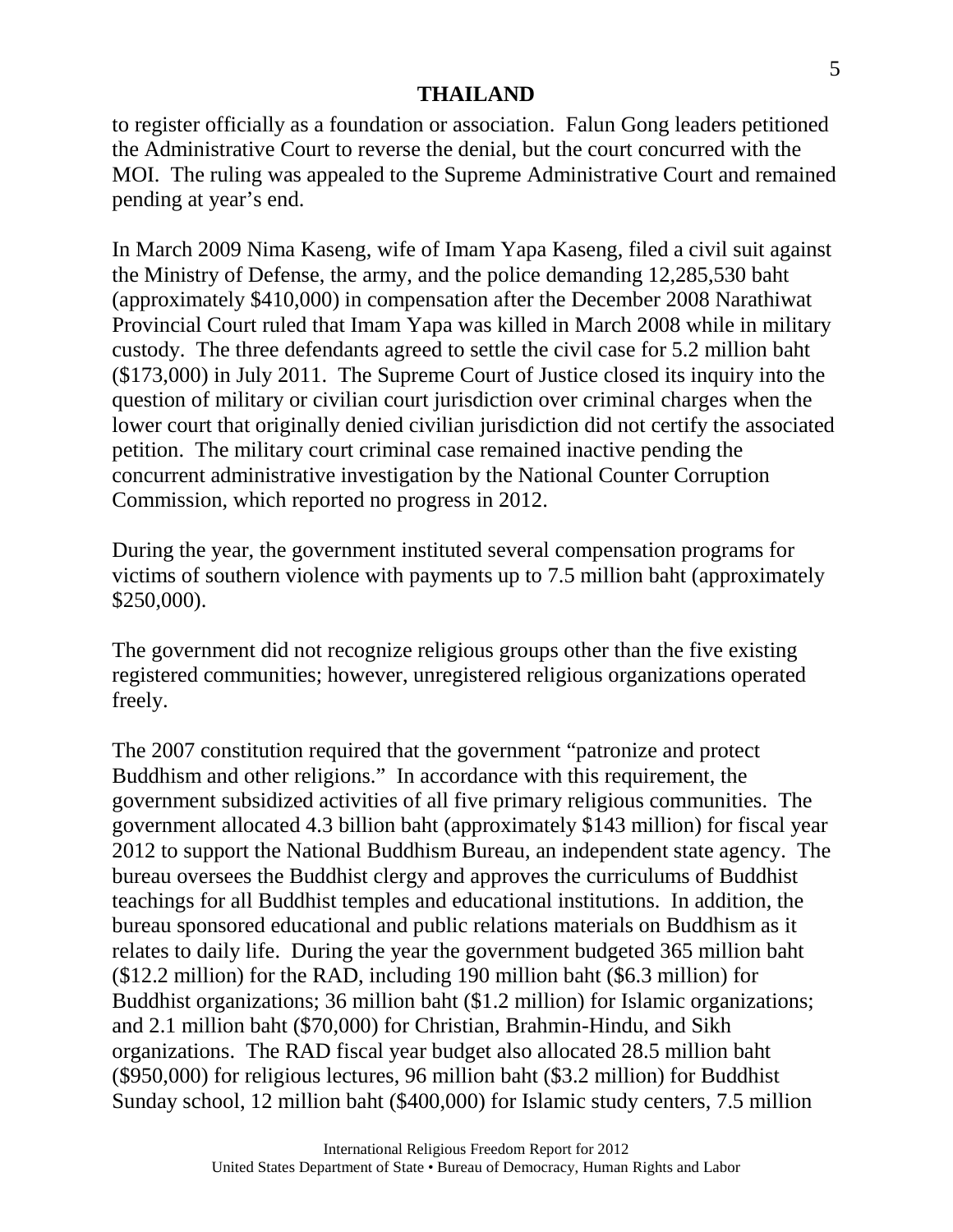to register officially as a foundation or association. Falun Gong leaders petitioned the Administrative Court to reverse the denial, but the court concurred with the MOI. The ruling was appealed to the Supreme Administrative Court and remained pending at year's end.

In March 2009 Nima Kaseng, wife of Imam Yapa Kaseng, filed a civil suit against the Ministry of Defense, the army, and the police demanding 12,285,530 baht (approximately \$410,000) in compensation after the December 2008 Narathiwat Provincial Court ruled that Imam Yapa was killed in March 2008 while in military custody. The three defendants agreed to settle the civil case for 5.2 million baht (\$173,000) in July 2011. The Supreme Court of Justice closed its inquiry into the question of military or civilian court jurisdiction over criminal charges when the lower court that originally denied civilian jurisdiction did not certify the associated petition. The military court criminal case remained inactive pending the concurrent administrative investigation by the National Counter Corruption Commission, which reported no progress in 2012.

During the year, the government instituted several compensation programs for victims of southern violence with payments up to 7.5 million baht (approximately \$250,000).

The government did not recognize religious groups other than the five existing registered communities; however, unregistered religious organizations operated freely.

The 2007 constitution required that the government "patronize and protect Buddhism and other religions." In accordance with this requirement, the government subsidized activities of all five primary religious communities. The government allocated 4.3 billion baht (approximately \$143 million) for fiscal year 2012 to support the National Buddhism Bureau, an independent state agency. The bureau oversees the Buddhist clergy and approves the curriculums of Buddhist teachings for all Buddhist temples and educational institutions. In addition, the bureau sponsored educational and public relations materials on Buddhism as it relates to daily life. During the year the government budgeted 365 million baht (\$12.2 million) for the RAD, including 190 million baht (\$6.3 million) for Buddhist organizations; 36 million baht (\$1.2 million) for Islamic organizations; and 2.1 million baht (\$70,000) for Christian, Brahmin-Hindu, and Sikh organizations. The RAD fiscal year budget also allocated 28.5 million baht (\$950,000) for religious lectures, 96 million baht (\$3.2 million) for Buddhist Sunday school, 12 million baht (\$400,000) for Islamic study centers, 7.5 million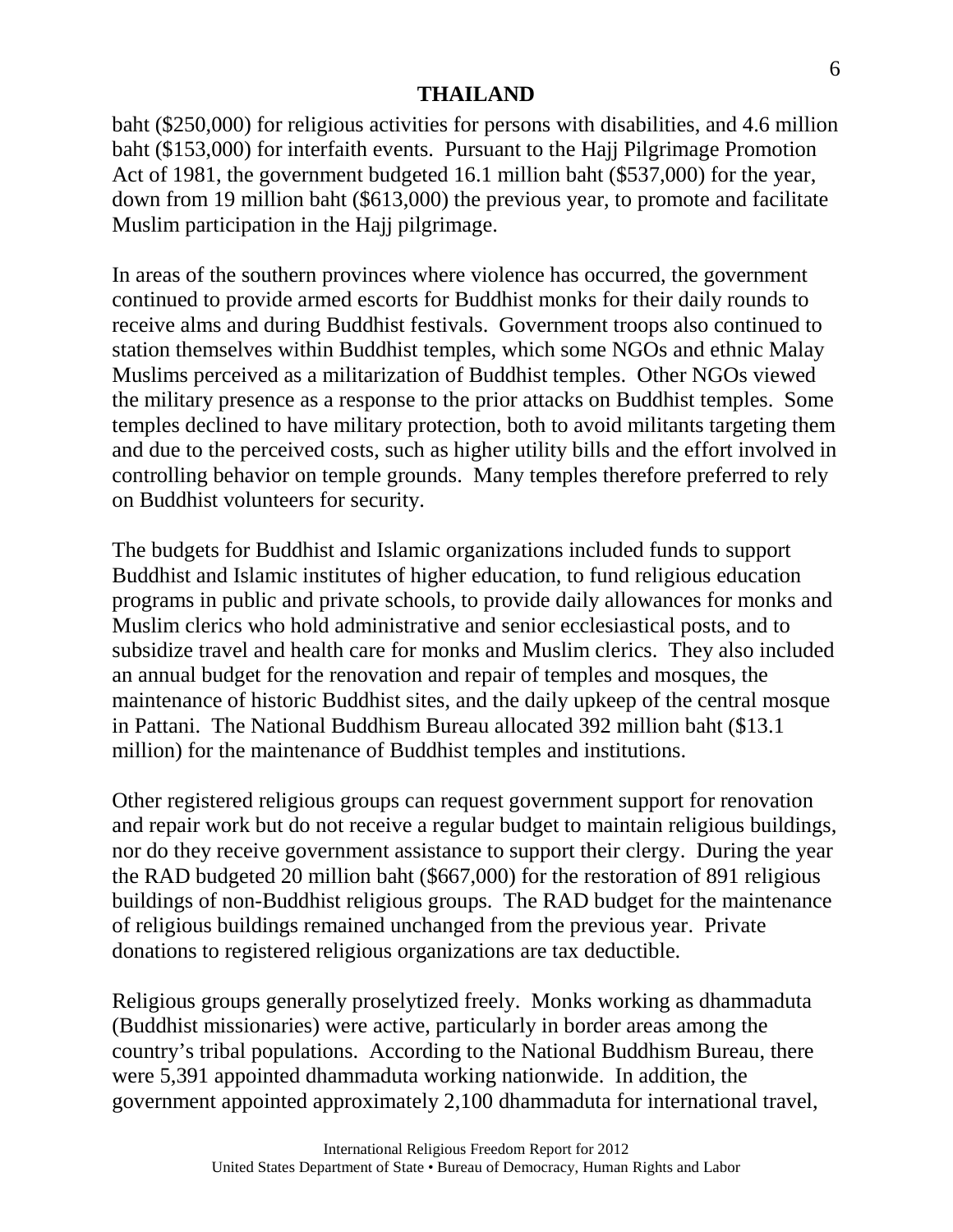baht (\$250,000) for religious activities for persons with disabilities, and 4.6 million baht (\$153,000) for interfaith events. Pursuant to the Hajj Pilgrimage Promotion Act of 1981, the government budgeted 16.1 million baht (\$537,000) for the year, down from 19 million baht (\$613,000) the previous year, to promote and facilitate Muslim participation in the Hajj pilgrimage.

In areas of the southern provinces where violence has occurred, the government continued to provide armed escorts for Buddhist monks for their daily rounds to receive alms and during Buddhist festivals. Government troops also continued to station themselves within Buddhist temples, which some NGOs and ethnic Malay Muslims perceived as a militarization of Buddhist temples. Other NGOs viewed the military presence as a response to the prior attacks on Buddhist temples. Some temples declined to have military protection, both to avoid militants targeting them and due to the perceived costs, such as higher utility bills and the effort involved in controlling behavior on temple grounds. Many temples therefore preferred to rely on Buddhist volunteers for security.

The budgets for Buddhist and Islamic organizations included funds to support Buddhist and Islamic institutes of higher education, to fund religious education programs in public and private schools, to provide daily allowances for monks and Muslim clerics who hold administrative and senior ecclesiastical posts, and to subsidize travel and health care for monks and Muslim clerics. They also included an annual budget for the renovation and repair of temples and mosques, the maintenance of historic Buddhist sites, and the daily upkeep of the central mosque in Pattani. The National Buddhism Bureau allocated 392 million baht (\$13.1 million) for the maintenance of Buddhist temples and institutions.

Other registered religious groups can request government support for renovation and repair work but do not receive a regular budget to maintain religious buildings, nor do they receive government assistance to support their clergy. During the year the RAD budgeted 20 million baht (\$667,000) for the restoration of 891 religious buildings of non-Buddhist religious groups. The RAD budget for the maintenance of religious buildings remained unchanged from the previous year. Private donations to registered religious organizations are tax deductible.

Religious groups generally proselytized freely. Monks working as dhammaduta (Buddhist missionaries) were active, particularly in border areas among the country's tribal populations. According to the National Buddhism Bureau, there were 5,391 appointed dhammaduta working nationwide. In addition, the government appointed approximately 2,100 dhammaduta for international travel,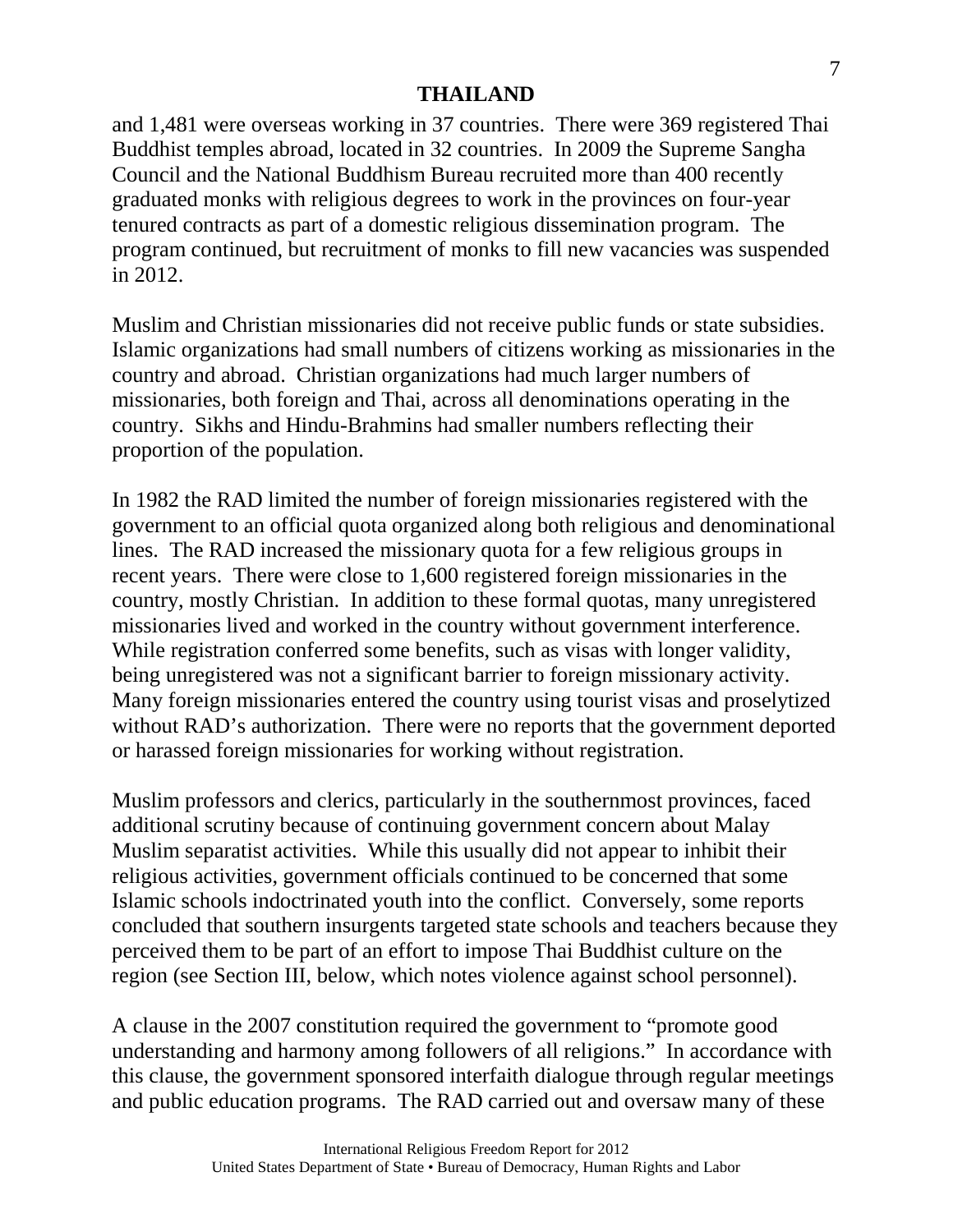and 1,481 were overseas working in 37 countries. There were 369 registered Thai Buddhist temples abroad, located in 32 countries. In 2009 the Supreme Sangha Council and the National Buddhism Bureau recruited more than 400 recently graduated monks with religious degrees to work in the provinces on four-year tenured contracts as part of a domestic religious dissemination program. The program continued, but recruitment of monks to fill new vacancies was suspended in 2012.

Muslim and Christian missionaries did not receive public funds or state subsidies. Islamic organizations had small numbers of citizens working as missionaries in the country and abroad. Christian organizations had much larger numbers of missionaries, both foreign and Thai, across all denominations operating in the country. Sikhs and Hindu-Brahmins had smaller numbers reflecting their proportion of the population.

In 1982 the RAD limited the number of foreign missionaries registered with the government to an official quota organized along both religious and denominational lines. The RAD increased the missionary quota for a few religious groups in recent years. There were close to 1,600 registered foreign missionaries in the country, mostly Christian. In addition to these formal quotas, many unregistered missionaries lived and worked in the country without government interference. While registration conferred some benefits, such as visas with longer validity, being unregistered was not a significant barrier to foreign missionary activity. Many foreign missionaries entered the country using tourist visas and proselytized without RAD's authorization. There were no reports that the government deported or harassed foreign missionaries for working without registration.

Muslim professors and clerics, particularly in the southernmost provinces, faced additional scrutiny because of continuing government concern about Malay Muslim separatist activities. While this usually did not appear to inhibit their religious activities, government officials continued to be concerned that some Islamic schools indoctrinated youth into the conflict. Conversely, some reports concluded that southern insurgents targeted state schools and teachers because they perceived them to be part of an effort to impose Thai Buddhist culture on the region (see Section III, below, which notes violence against school personnel).

A clause in the 2007 constitution required the government to "promote good understanding and harmony among followers of all religions." In accordance with this clause, the government sponsored interfaith dialogue through regular meetings and public education programs. The RAD carried out and oversaw many of these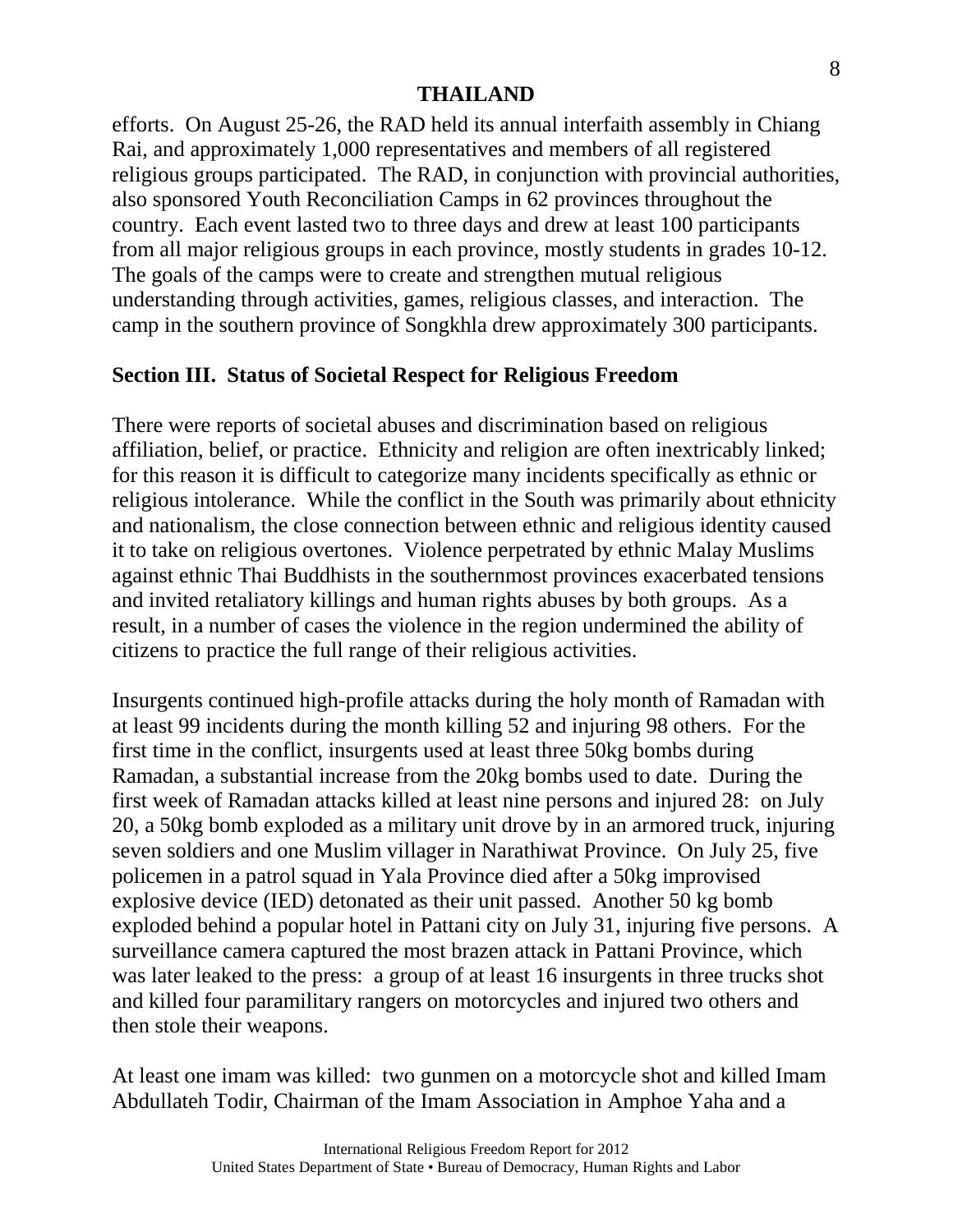efforts. On August 25-26, the RAD held its annual interfaith assembly in Chiang Rai, and approximately 1,000 representatives and members of all registered religious groups participated. The RAD, in conjunction with provincial authorities, also sponsored Youth Reconciliation Camps in 62 provinces throughout the country. Each event lasted two to three days and drew at least 100 participants from all major religious groups in each province, mostly students in grades 10-12. The goals of the camps were to create and strengthen mutual religious understanding through activities, games, religious classes, and interaction. The camp in the southern province of Songkhla drew approximately 300 participants.

### **Section III. Status of Societal Respect for Religious Freedom**

There were reports of societal abuses and discrimination based on religious affiliation, belief, or practice. Ethnicity and religion are often inextricably linked; for this reason it is difficult to categorize many incidents specifically as ethnic or religious intolerance. While the conflict in the South was primarily about ethnicity and nationalism, the close connection between ethnic and religious identity caused it to take on religious overtones. Violence perpetrated by ethnic Malay Muslims against ethnic Thai Buddhists in the southernmost provinces exacerbated tensions and invited retaliatory killings and human rights abuses by both groups. As a result, in a number of cases the violence in the region undermined the ability of citizens to practice the full range of their religious activities.

Insurgents continued high-profile attacks during the holy month of Ramadan with at least 99 incidents during the month killing 52 and injuring 98 others. For the first time in the conflict, insurgents used at least three 50kg bombs during Ramadan, a substantial increase from the 20kg bombs used to date. During the first week of Ramadan attacks killed at least nine persons and injured 28: on July 20, a 50kg bomb exploded as a military unit drove by in an armored truck, injuring seven soldiers and one Muslim villager in Narathiwat Province. On July 25, five policemen in a patrol squad in Yala Province died after a 50kg improvised explosive device (IED) detonated as their unit passed. Another 50 kg bomb exploded behind a popular hotel in Pattani city on July 31, injuring five persons. A surveillance camera captured the most brazen attack in Pattani Province, which was later leaked to the press: a group of at least 16 insurgents in three trucks shot and killed four paramilitary rangers on motorcycles and injured two others and then stole their weapons.

At least one imam was killed: two gunmen on a motorcycle shot and killed Imam Abdullateh Todir, Chairman of the Imam Association in Amphoe Yaha and a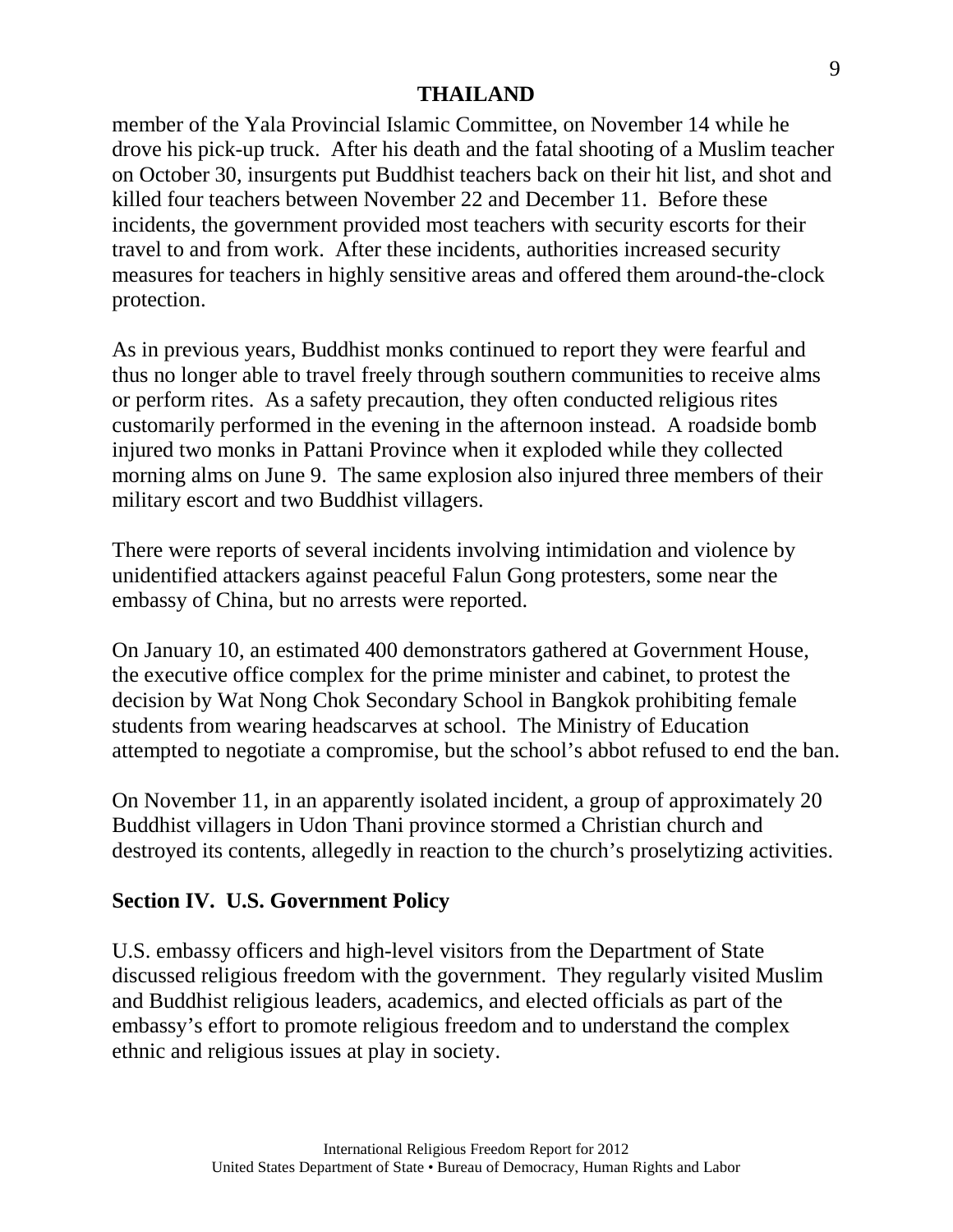member of the Yala Provincial Islamic Committee, on November 14 while he drove his pick-up truck. After his death and the fatal shooting of a Muslim teacher on October 30, insurgents put Buddhist teachers back on their hit list, and shot and killed four teachers between November 22 and December 11. Before these incidents, the government provided most teachers with security escorts for their travel to and from work. After these incidents, authorities increased security measures for teachers in highly sensitive areas and offered them around-the-clock protection.

As in previous years, Buddhist monks continued to report they were fearful and thus no longer able to travel freely through southern communities to receive alms or perform rites. As a safety precaution, they often conducted religious rites customarily performed in the evening in the afternoon instead. A roadside bomb injured two monks in Pattani Province when it exploded while they collected morning alms on June 9. The same explosion also injured three members of their military escort and two Buddhist villagers.

There were reports of several incidents involving intimidation and violence by unidentified attackers against peaceful Falun Gong protesters, some near the embassy of China, but no arrests were reported.

On January 10, an estimated 400 demonstrators gathered at Government House, the executive office complex for the prime minister and cabinet, to protest the decision by Wat Nong Chok Secondary School in Bangkok prohibiting female students from wearing headscarves at school. The Ministry of Education attempted to negotiate a compromise, but the school's abbot refused to end the ban.

On November 11, in an apparently isolated incident, a group of approximately 20 Buddhist villagers in Udon Thani province stormed a Christian church and destroyed its contents, allegedly in reaction to the church's proselytizing activities.

# **Section IV. U.S. Government Policy**

U.S. embassy officers and high-level visitors from the Department of State discussed religious freedom with the government. They regularly visited Muslim and Buddhist religious leaders, academics, and elected officials as part of the embassy's effort to promote religious freedom and to understand the complex ethnic and religious issues at play in society.